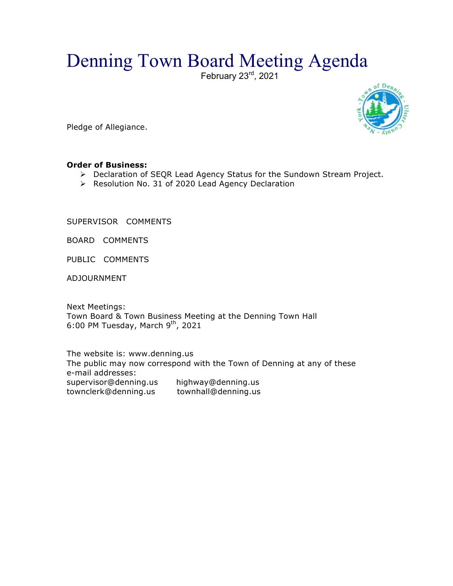## Denning Town Board Meeting Agenda

February 23<sup>rd</sup>, 2021



Pledge of Allegiance.

## **Order of Business:**

- > Declaration of SEQR Lead Agency Status for the Sundown Stream Project.
- > Resolution No. 31 of 2020 Lead Agency Declaration

SUPERVISOR COMMENTS

BOARD COMMENTS

PUBLIC COMMENTS

ADJOURNMENT

Next Meetings: Town Board & Town Business Meeting at the Denning Town Hall 6:00 PM Tuesday, March  $9<sup>th</sup>$ , 2021

The website is: www.denning.us The public may now correspond with the Town of Denning at any of these e-mail addresses: supervisor@denning.us highway@denning.us townclerk@denning.us townhall@denning.us